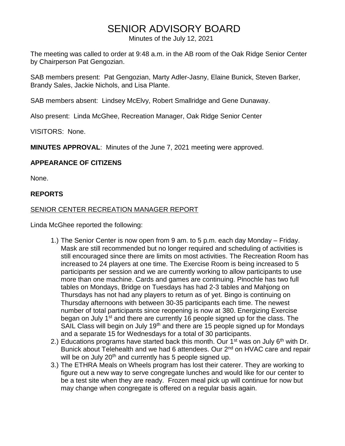# SENIOR ADVISORY BOARD

Minutes of the July 12, 2021

The meeting was called to order at 9:48 a.m. in the AB room of the Oak Ridge Senior Center by Chairperson Pat Gengozian.

SAB members present: Pat Gengozian, Marty Adler-Jasny, Elaine Bunick, Steven Barker, Brandy Sales, Jackie Nichols, and Lisa Plante.

SAB members absent: Lindsey McElvy, Robert Smallridge and Gene Dunaway.

Also present: Linda McGhee, Recreation Manager, Oak Ridge Senior Center

VISITORS: None.

**MINUTES APPROVAL**: Minutes of the June 7, 2021 meeting were approved.

# **APPEARANCE OF CITIZENS**

None.

#### **REPORTS**

#### SENIOR CENTER RECREATION MANAGER REPORT

Linda McGhee reported the following:

- 1.) The Senior Center is now open from 9 am. to 5 p.m. each day Monday Friday. Mask are still recommended but no longer required and scheduling of activities is still encouraged since there are limits on most activities. The Recreation Room has increased to 24 players at one time. The Exercise Room is being increased to 5 participants per session and we are currently working to allow participants to use more than one machine. Cards and games are continuing. Pinochle has two full tables on Mondays, Bridge on Tuesdays has had 2-3 tables and Mahjong on Thursdays has not had any players to return as of yet. Bingo is continuing on Thursday afternoons with between 30-35 participants each time. The newest number of total participants since reopening is now at 380. Energizing Exercise began on July 1<sup>st</sup> and there are currently 16 people signed up for the class. The SAIL Class will begin on July 19<sup>th</sup> and there are 15 people signed up for Mondays and a separate 15 for Wednesdays for a total of 30 participants.
- 2.) Educations programs have started back this month. Our  $1<sup>st</sup>$  was on July  $6<sup>th</sup>$  with Dr. Bunick about Telehealth and we had 6 attendees. Our 2<sup>nd</sup> on HVAC care and repair will be on July 20<sup>th</sup> and currently has 5 people signed up.
- 3.) The ETHRA Meals on Wheels program has lost their caterer. They are working to figure out a new way to serve congregate lunches and would like for our center to be a test site when they are ready. Frozen meal pick up will continue for now but may change when congregate is offered on a regular basis again.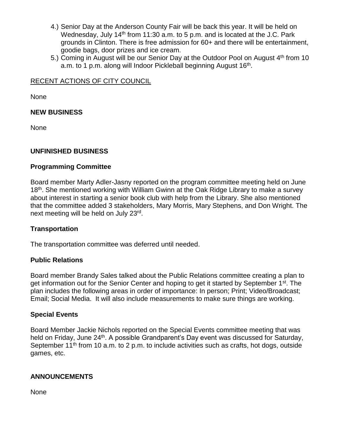- 4.) Senior Day at the Anderson County Fair will be back this year. It will be held on Wednesday, July  $14<sup>th</sup>$  from 11:30 a.m. to 5 p.m. and is located at the J.C. Park grounds in Clinton. There is free admission for 60+ and there will be entertainment, goodie bags, door prizes and ice cream.
- 5.) Coming in August will be our Senior Day at the Outdoor Pool on August 4<sup>th</sup> from 10 a.m. to 1 p.m. along will Indoor Pickleball beginning August 16<sup>th</sup>.

# RECENT ACTIONS OF CITY COUNCIL

None

### **NEW BUSINESS**

None

### **UNFINISHED BUSINESS**

### **Programming Committee**

Board member Marty Adler-Jasny reported on the program committee meeting held on June 18<sup>th</sup>. She mentioned working with William Gwinn at the Oak Ridge Library to make a survey about interest in starting a senior book club with help from the Library. She also mentioned that the committee added 3 stakeholders, Mary Morris, Mary Stephens, and Don Wright. The next meeting will be held on July 23rd.

#### **Transportation**

The transportation committee was deferred until needed.

#### **Public Relations**

Board member Brandy Sales talked about the Public Relations committee creating a plan to get information out for the Senior Center and hoping to get it started by September 1<sup>st</sup>. The plan includes the following areas in order of importance: In person; Print; Video/Broadcast; Email; Social Media. It will also include measurements to make sure things are working.

#### **Special Events**

Board Member Jackie Nichols reported on the Special Events committee meeting that was held on Friday, June 24<sup>th</sup>. A possible Grandparent's Day event was discussed for Saturday, September  $11<sup>th</sup>$  from 10 a.m. to 2 p.m. to include activities such as crafts, hot dogs, outside games, etc.

# **ANNOUNCEMENTS**

None